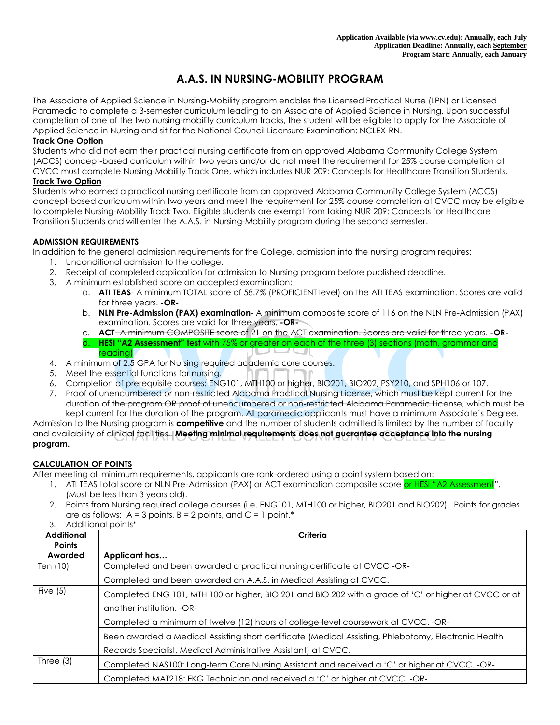# **A.A.S. IN NURSING-MOBILITY PROGRAM**

The Associate of Applied Science in Nursing-Mobility program enables the Licensed Practical Nurse (LPN) or Licensed Paramedic to complete a 3-semester curriculum leading to an Associate of Applied Science in Nursing. Upon successful completion of one of the two nursing-mobility curriculum tracks, the student will be eligible to apply for the Associate of Applied Science in Nursing and sit for the National Council Licensure Examination: NCLEX-RN.

#### **Track One Option**

Students who did not earn their practical nursing certificate from an approved Alabama Community College System (ACCS) concept-based curriculum within two years and/or do not meet the requirement for 25% course completion at CVCC must complete Nursing-Mobility Track One, which includes NUR 209: Concepts for Healthcare Transition Students. **Track Two Option**

Students who earned a practical nursing certificate from an approved Alabama Community College System (ACCS) concept-based curriculum within two years and meet the requirement for 25% course completion at CVCC may be eligible to complete Nursing-Mobility Track Two. Eligible students are exempt from taking NUR 209: Concepts for Healthcare Transition Students and will enter the A.A.S. in Nursing-Mobility program during the second semester.

#### **ADMISSION REQUIREMENTS**

In addition to the general admission requirements for the College, admission into the nursing program requires:

- 1. Unconditional admission to the college.
- 2. Receipt of completed application for admission to Nursing program before published deadline.
- 3. A minimum established score on accepted examination:
	- a. **ATI TEAS** A minimum TOTAL score of 58.7% (PROFICIENT level) on the ATI TEAS examination. Scores are valid for three years. **-OR-**
	- b. **NLN Pre-Admission (PAX) examination** A minimum composite score of 116 on the NLN Pre-Admission (PAX) examination. Scores are valid for three years. **-OR-**
	- c. **ACT** A minimum COMPOSITE score of 21 on the ACT examination. Scores are valid for three years. **-OR**d. **HESI "A2 Assessment" test** with 75% or greater on each of the three (3) sections (math, grammar and reading)
- 4. A minimum of 2.5 GPA for Nursing required academic core courses.
- 5. Meet the essential functions for nursing.
- 6. Completion of prerequisite courses: ENG101, MTH100 or higher, BIO201, BIO202, PSY210, and SPH106 or 107.
- 7. Proof of unencumbered or non-restricted Alabama Practical Nursing License, which must be kept current for the duration of the program OR proof of unencumbered or non-restricted Alabama Paramedic License, which must be kept current for the duration of the program. All paramedic applicants must have a minimum Associate's Degree.

Admission to the Nursing program is **competitive** and the number of students admitted is limited by the number of faculty and availability of clinical facilities. **Meeting minimal requirements does not guarantee acceptance into the nursing program.**

### **CALCULATION OF POINTS**

After meeting all minimum requirements, applicants are rank-ordered using a point system based on:

- 1. ATI TEAS total score or NLN Pre-Admission (PAX) or ACT examination composite score or HESI "A2 Assessment". (Must be less than 3 years old).
- 2. Points from Nursing required college courses (i.e. ENG101, MTH100 or higher, BIO201 and BIO202). Points for grades are as follows:  $A = 3$  points,  $B = 2$  points, and  $C = 1$  point.<sup>\*</sup>
- 3. Additional points\*

| <b>Additional</b><br><b>Points</b> | Criteria                                                                                                                                                               |  |  |  |
|------------------------------------|------------------------------------------------------------------------------------------------------------------------------------------------------------------------|--|--|--|
| Awarded                            | Applicant has                                                                                                                                                          |  |  |  |
| Ten (10)                           | Completed and been awarded a practical nursing certificate at CVCC -OR-                                                                                                |  |  |  |
|                                    | Completed and been awarded an A.A.S. in Medical Assisting at CVCC.                                                                                                     |  |  |  |
| Five $(5)$                         | Completed ENG 101, MTH 100 or higher, BIO 201 and BIO 202 with a grade of 'C' or higher at CVCC or at<br>another institution. -OR-                                     |  |  |  |
|                                    | Completed a minimum of twelve (12) hours of college-level coursework at CVCC. -OR-                                                                                     |  |  |  |
|                                    | Been awarded a Medical Assisting short certificate (Medical Assisting, Phlebotomy, Electronic Health<br>Records Specialist, Medical Administrative Assistant) at CVCC. |  |  |  |
| Three $(3)$                        | Completed NAS100: Long-term Care Nursing Assistant and received a 'C' or higher at CVCC. -OR-                                                                          |  |  |  |
|                                    | Completed MAT218: EKG Technician and received a 'C' or higher at CVCC. -OR-                                                                                            |  |  |  |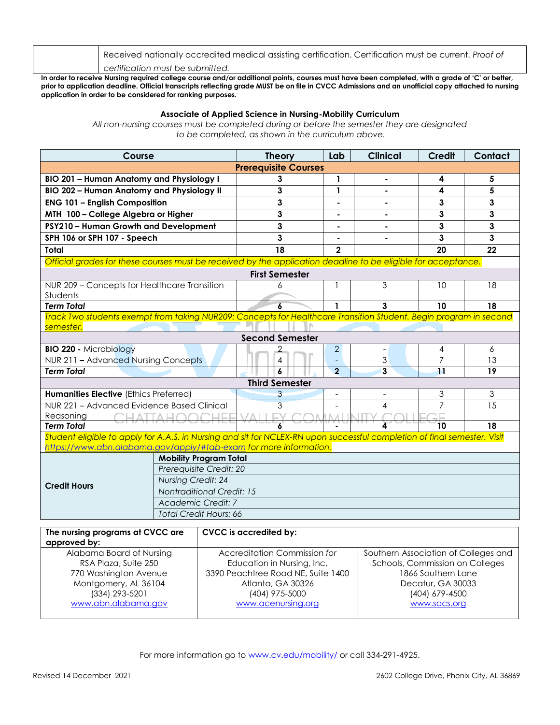Received nationally accredited medical assisting certification. Certification must be current. *Proof of certification must be submitted.*

**In order to receive Nursing required college course and/or additional points, courses must have been completed, with a grade of 'C' or better,**  prior to application deadline. Official transcripts reflecting grade MUST be on file in CVCC Admissions and an unofficial copy attached to nursing **application in order to be considered for ranking purposes.**

## **Associate of Applied Science in Nursing-Mobility Curriculum**

*All non-nursing courses must be completed during or before the semester they are designated to be completed, as shown in the curriculum above.*

| Course                                                                                                                   |                                                     | <b>Theory</b>          | Lab            | <b>Clinical</b>               | Credit              | Contact        |  |
|--------------------------------------------------------------------------------------------------------------------------|-----------------------------------------------------|------------------------|----------------|-------------------------------|---------------------|----------------|--|
| <b>Prerequisite Courses</b>                                                                                              |                                                     |                        |                |                               |                     |                |  |
| <b>BIO 201 - Human Anatomy and Physiology I</b>                                                                          | 3                                                   | 1                      |                | 4                             | 5                   |                |  |
| <b>BIO 202 - Human Anatomy and Physiology II</b>                                                                         | 3                                                   | 1                      |                | 4                             | 5                   |                |  |
| <b>ENG 101 - English Composition</b>                                                                                     | 3                                                   |                        |                | 3                             | 3                   |                |  |
| MTH 100 - College Algebra or Higher                                                                                      | 3                                                   |                        |                | 3                             | $\mathbf{3}$        |                |  |
| PSY210 - Human Growth and Development                                                                                    | 3                                                   |                        |                | 3                             | $\mathbf{3}$        |                |  |
| SPH 106 or SPH 107 - Speech                                                                                              | 3                                                   |                        |                | 3                             | 3                   |                |  |
| Total                                                                                                                    | 18                                                  | $\mathbf{2}$           |                | 20                            | 22                  |                |  |
| Official grades for these courses must be received by the application deadline to be eligible for acceptance.            |                                                     |                        |                |                               |                     |                |  |
| <b>First Semester</b>                                                                                                    |                                                     |                        |                |                               |                     |                |  |
| NUR 209 - Concepts for Healthcare Transition                                                                             | 6                                                   |                        | 3              | 10                            | 18                  |                |  |
| Students                                                                                                                 |                                                     |                        |                |                               |                     |                |  |
| <b>Term Total</b>                                                                                                        | $\overline{a}$                                      | 1                      | $\mathbf{3}$   | 10                            | 18                  |                |  |
| Track Two students exempt from taking NUR209: Concepts for Healthcare Transition Student. Begin program in second        |                                                     |                        |                |                               |                     |                |  |
| semester.                                                                                                                |                                                     | <b>Second Semester</b> |                |                               |                     |                |  |
|                                                                                                                          |                                                     |                        | $\overline{2}$ |                               |                     |                |  |
| <b>BIO 220 - Microbiology</b><br>NUR 211 - Advanced Nursing Concepts                                                     |                                                     | 2<br>4                 |                | $\overline{\phantom{a}}$<br>3 | 4<br>$\overline{7}$ | 6<br>13        |  |
| <b>Term Total</b>                                                                                                        | 6                                                   | $\overline{2}$         | 3              | 11                            | 19                  |                |  |
|                                                                                                                          |                                                     | <b>Third Semester</b>  |                |                               |                     |                |  |
| <b>Humanities Elective (Ethics Preferred)</b>                                                                            |                                                     | 3                      |                |                               | 3                   | $\mathfrak{Z}$ |  |
| NUR 221 - Advanced Evidence Based Clinical                                                                               |                                                     | 3                      |                | 4                             | $\overline{7}$      | 15             |  |
| Reasoning<br>$\cap$ LI atta LI $\cap$                                                                                    | 口口口<br>VALL.                                        | 4 N .A I . II          |                |                               |                     |                |  |
| <b>Term Total</b>                                                                                                        |                                                     |                        |                | 10                            | 18                  |                |  |
| Student eligible to apply for A.A.S. in Nursing and sit for NCLEX-RN upon successful completion of final semester. Visit |                                                     |                        |                |                               |                     |                |  |
| https://www.abn.alabama.gov/apply/#tab-exam for more information.                                                        |                                                     |                        |                |                               |                     |                |  |
|                                                                                                                          | <b>Mobility Program Total</b>                       |                        |                |                               |                     |                |  |
|                                                                                                                          | Prerequisite Credit: 20                             |                        |                |                               |                     |                |  |
| <b>Credit Hours</b>                                                                                                      | <b>Nursing Credit: 24</b>                           |                        |                |                               |                     |                |  |
|                                                                                                                          | <b>Nontraditional Credit: 15</b>                    |                        |                |                               |                     |                |  |
|                                                                                                                          | Academic Credit: 7<br><b>Total Credit Hours: 66</b> |                        |                |                               |                     |                |  |
|                                                                                                                          |                                                     |                        |                |                               |                     |                |  |
| The nursing programs at CVCC are<br>CVCC is accredited by:                                                               |                                                     |                        |                |                               |                     |                |  |

| approved by:             |                                    |                                      |  |  |
|--------------------------|------------------------------------|--------------------------------------|--|--|
| Alabama Board of Nursing | Accreditation Commission for       | Southern Association of Colleges and |  |  |
| RSA Plaza, Suite 250     | Education in Nursing, Inc.         | Schools, Commission on Colleges      |  |  |
| 770 Washington Avenue    | 3390 Peachtree Road NE, Suite 1400 | 1866 Southern Lane                   |  |  |
| Montgomery, AL 36104     | Atlanta, GA 30326                  | Decatur, GA 30033                    |  |  |
| (334) 293-5201           | (404) 975-5000                     | (404) 679-4500                       |  |  |
| www.abn.alabama.gov      | www.acenursing.org                 | www.sacs.org                         |  |  |
|                          |                                    |                                      |  |  |

For more information go to [www.cv.edu/mobility/](http://www.cv.edu/mobility/) or call 334-291-4925.